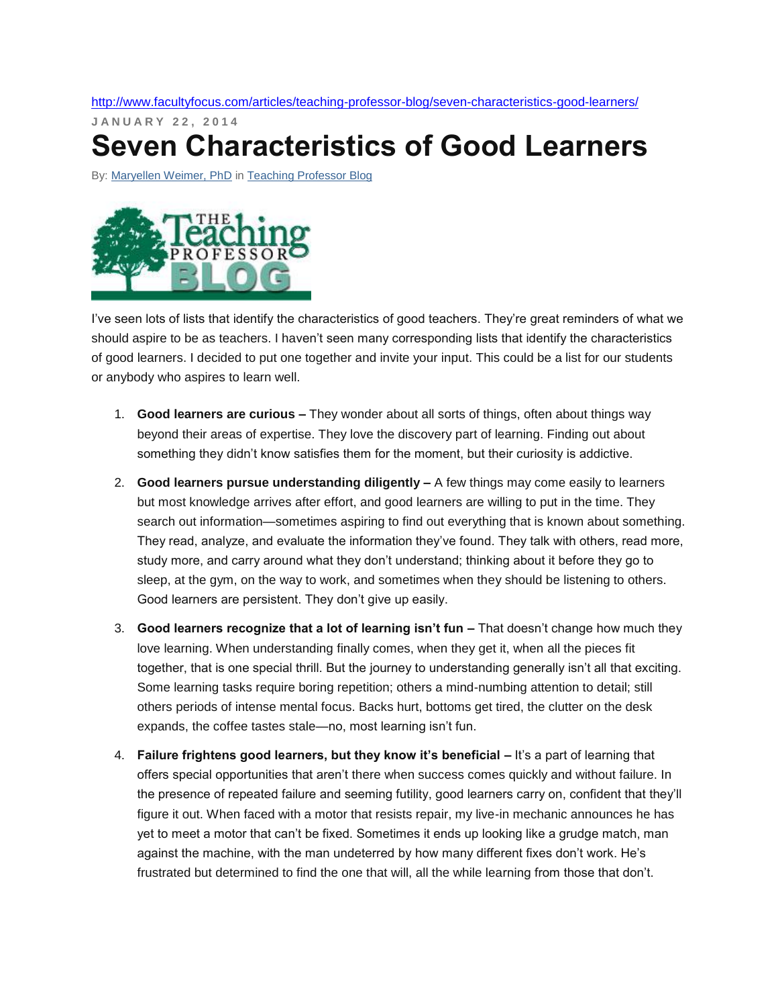<http://www.facultyfocus.com/articles/teaching-professor-blog/seven-characteristics-good-learners/>

**J A N U A R Y 2 2 , 2 0 1 4 Seven Characteristics of Good Learners**

By: [Maryellen Weimer, PhD](http://www.facultyfocus.com/author/mweimer/) in [Teaching Professor Blog](http://www.facultyfocus.com/topic/articles/teaching-professor-blog/)



I've seen lots of lists that identify the characteristics of good teachers. They're great reminders of what we should aspire to be as teachers. I haven't seen many corresponding lists that identify the characteristics of good learners. I decided to put one together and invite your input. This could be a list for our students or anybody who aspires to learn well.

- 1. **Good learners are curious –** They wonder about all sorts of things, often about things way beyond their areas of expertise. They love the discovery part of learning. Finding out about something they didn't know satisfies them for the moment, but their curiosity is addictive.
- 2. **Good learners pursue understanding diligently –** A few things may come easily to learners but most knowledge arrives after effort, and good learners are willing to put in the time. They search out information—sometimes aspiring to find out everything that is known about something. They read, analyze, and evaluate the information they've found. They talk with others, read more, study more, and carry around what they don't understand; thinking about it before they go to sleep, at the gym, on the way to work, and sometimes when they should be listening to others. Good learners are persistent. They don't give up easily.
- 3. **Good learners recognize that a lot of learning isn't fun –** That doesn't change how much they love learning. When understanding finally comes, when they get it, when all the pieces fit together, that is one special thrill. But the journey to understanding generally isn't all that exciting. Some learning tasks require boring repetition; others a mind-numbing attention to detail; still others periods of intense mental focus. Backs hurt, bottoms get tired, the clutter on the desk expands, the coffee tastes stale—no, most learning isn't fun.
- 4. **Failure frightens good learners, but they know it's beneficial –** It's a part of learning that offers special opportunities that aren't there when success comes quickly and without failure. In the presence of repeated failure and seeming futility, good learners carry on, confident that they'll figure it out. When faced with a motor that resists repair, my live-in mechanic announces he has yet to meet a motor that can't be fixed. Sometimes it ends up looking like a grudge match, man against the machine, with the man undeterred by how many different fixes don't work. He's frustrated but determined to find the one that will, all the while learning from those that don't.